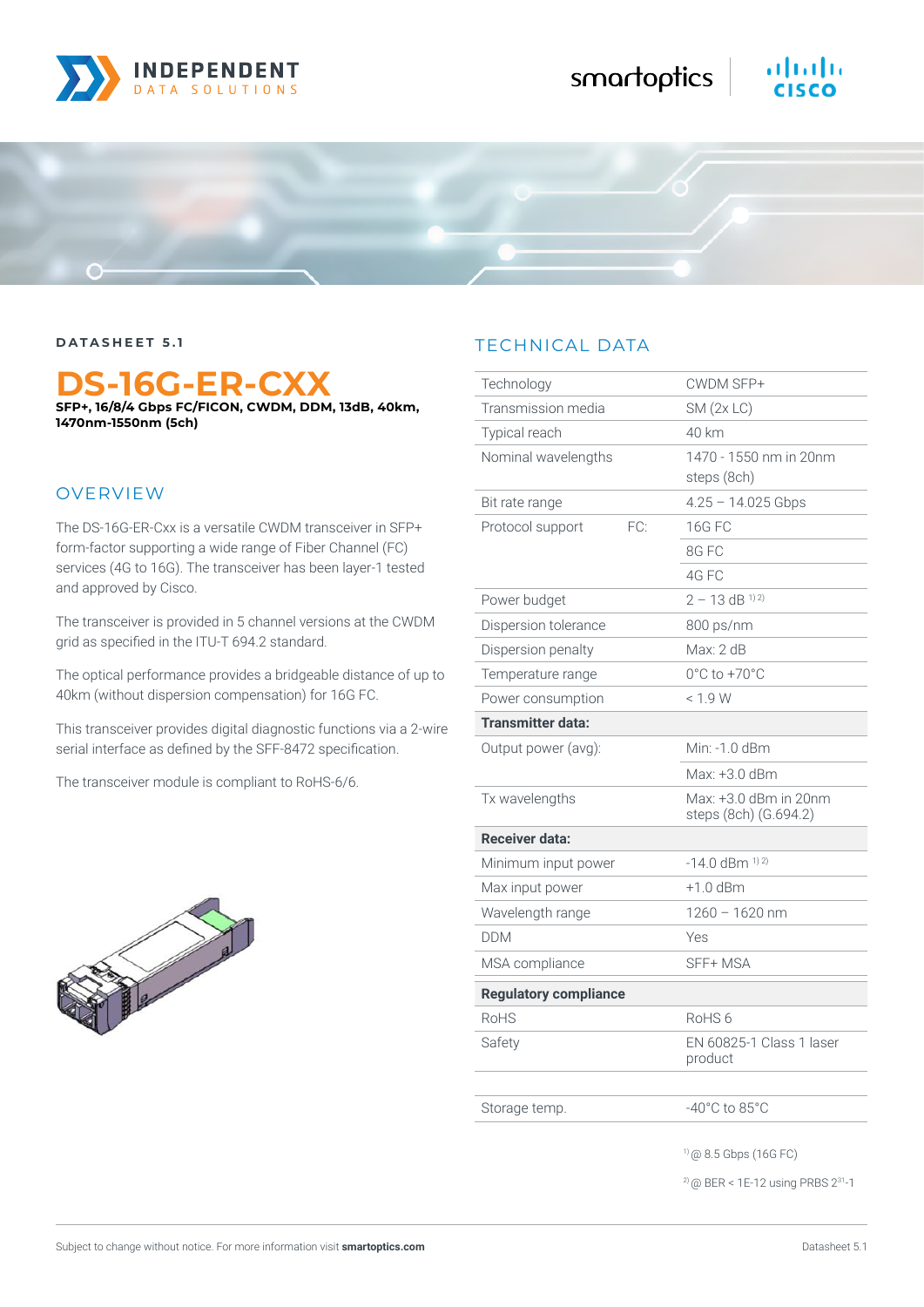

# altalta

**DATASHEET 5.1**

## **DS-16G-ER-CXX**

**SFP+, 16/8/4 Gbps FC/FICON, CWDM, DDM, 13dB, 40km, 1470nm-1550nm (5ch)**

### OVERVIEW

The DS-16G-ER-Cxx is a versatile CWDM transceiver in SFP+ form-factor supporting a wide range of Fiber Channel (FC) services (4G to 16G). The transceiver has been layer-1 tested and approved by Cisco.

The transceiver is provided in 5 channel versions at the CWDM grid as specified in the ITU-T 694.2 standard.

The optical performance provides a bridgeable distance of up to 40km (without dispersion compensation) for 16G FC.

This transceiver provides digital diagnostic functions via a 2-wire serial interface as defined by the SFF-8472 specification.

The transceiver module is compliant to RoHS-6/6.



## TECHNICAL DATA

| Technology                   | CWDM SFP+                                      |
|------------------------------|------------------------------------------------|
| Transmission media           | SM(2x LC)                                      |
| Typical reach                | 40 km                                          |
| Nominal wavelengths          | 1470 - 1550 nm in 20nm<br>steps (8ch)          |
| Bit rate range               | $4.25 - 14.025$ Gbps                           |
| FC:<br>Protocol support      | 16G FC                                         |
|                              | 8G FC                                          |
|                              | 4G FC                                          |
| Power budget                 | $2 - 13$ dB <sup>1)2)</sup>                    |
| Dispersion tolerance         | 800 ps/nm                                      |
| Dispersion penalty           | Max: 2 dB                                      |
| Temperature range            | 0°C to +70°C                                   |
| Power consumption            | < 1.9 W                                        |
| <b>Transmitter data:</b>     |                                                |
| Output power (avg):          | Min: -1.0 dBm                                  |
|                              | Max: +3.0 dBm                                  |
| Tx wavelengths               | Max: +3.0 dBm in 20nm<br>steps (8ch) (G.694.2) |
| <b>Receiver data:</b>        |                                                |
| Minimum input power          | $-14.0$ dBm $^{1/2}$                           |
| Max input power              | $+1.0$ dBm                                     |
| Wavelength range             | 1260 - 1620 nm                                 |
| <b>DDM</b>                   | Yes                                            |
| MSA compliance               | SFF+MSA                                        |
| <b>Regulatory compliance</b> |                                                |
| <b>RoHS</b>                  | RoHS <sub>6</sub>                              |
| Safety                       | EN 60825-1 Class 1 laser<br>product            |
| Storage temp.                | $-40^{\circ}$ C to 85 $^{\circ}$ C             |
|                              | $(166)$ Pm $(166)$ Pm                          |

2) @ BER < 1E-12 using PRBS 231-1